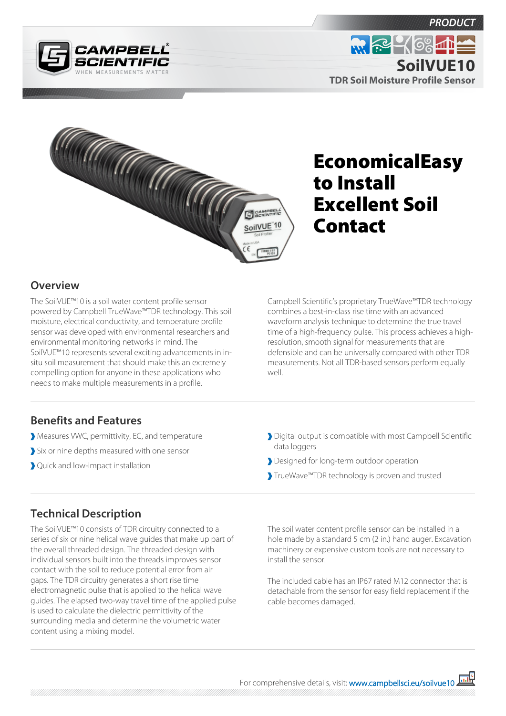



# EconomicalEasy to Install Excellent Soil Contact

### **Overview**

The SoilVUE™10 is a soil water content profile sensor powered by Campbell TrueWave™TDR technology. This soil moisture, electrical conductivity, and temperature profile sensor was developed with environmental researchers and environmental monitoring networks in mind. The SoilVUE™10 represents several exciting advancements in insitu soil measurement that should make this an extremely compelling option for anyone in these applications who needs to make multiple measurements in a profile.

Campbell Scientific's proprietary TrueWave™TDR technology combines a best-in-class rise time with an advanced waveform analysis technique to determine the true travel time of a high-frequency pulse. This process achieves a highresolution, smooth signal for measurements that are defensible and can be universally compared with other TDR measurements. Not all TDR-based sensors perform equally well.

#### **Benefits and Features**

- Measures VWC, permittivity, EC, and temperature
- Six or nine depths measured with one sensor
- Quick and low-impact installation
- Digital output is compatible with most Campbell Scientific data loggers
- Designed for long-term outdoor operation
- TrueWave™TDR technology is proven and trusted

#### **Technical Description**

The SoilVUE™10 consists of TDR circuitry connected to a series of six or nine helical wave guides that make up part of the overall threaded design. The threaded design with individual sensors built into the threads improves sensor contact with the soil to reduce potential error from air gaps. The TDR circuitry generates a short rise time electromagnetic pulse that is applied to the helical wave guides. The elapsed two-way travel time of the applied pulse is used to calculate the dielectric permittivity of the surrounding media and determine the volumetric water content using a mixing model.

The soil water content profile sensor can be installed in a hole made by a standard 5 cm (2 in.) hand auger. Excavation machinery or expensive custom tools are not necessary to install the sensor.

The included cable has an IP67 rated M12 connector that is detachable from the sensor for easy field replacement if the cable becomes damaged.